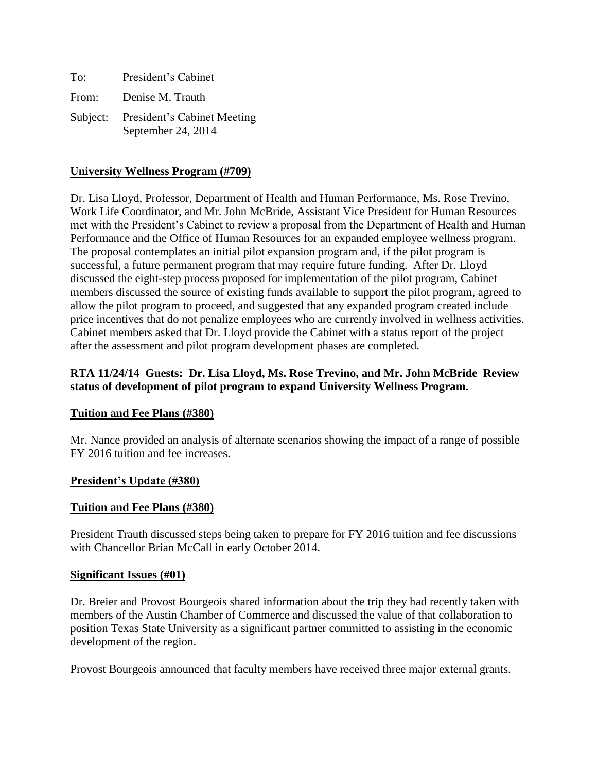| To:   | President's Cabinet                                        |
|-------|------------------------------------------------------------|
| From: | Denise M. Trauth                                           |
|       | Subject: President's Cabinet Meeting<br>September 24, 2014 |

## **University Wellness Program (#709)**

Dr. Lisa Lloyd, Professor, Department of Health and Human Performance, Ms. Rose Trevino, Work Life Coordinator, and Mr. John McBride, Assistant Vice President for Human Resources met with the President's Cabinet to review a proposal from the Department of Health and Human Performance and the Office of Human Resources for an expanded employee wellness program. The proposal contemplates an initial pilot expansion program and, if the pilot program is successful, a future permanent program that may require future funding. After Dr. Lloyd discussed the eight-step process proposed for implementation of the pilot program, Cabinet members discussed the source of existing funds available to support the pilot program, agreed to allow the pilot program to proceed, and suggested that any expanded program created include price incentives that do not penalize employees who are currently involved in wellness activities. Cabinet members asked that Dr. Lloyd provide the Cabinet with a status report of the project after the assessment and pilot program development phases are completed.

## **RTA 11/24/14 Guests: Dr. Lisa Lloyd, Ms. Rose Trevino, and Mr. John McBride Review status of development of pilot program to expand University Wellness Program.**

## **Tuition and Fee Plans (#380)**

Mr. Nance provided an analysis of alternate scenarios showing the impact of a range of possible FY 2016 tuition and fee increases.

## **President's Update (#380)**

## **Tuition and Fee Plans (#380)**

President Trauth discussed steps being taken to prepare for FY 2016 tuition and fee discussions with Chancellor Brian McCall in early October 2014.

## **Significant Issues (#01)**

Dr. Breier and Provost Bourgeois shared information about the trip they had recently taken with members of the Austin Chamber of Commerce and discussed the value of that collaboration to position Texas State University as a significant partner committed to assisting in the economic development of the region.

Provost Bourgeois announced that faculty members have received three major external grants.